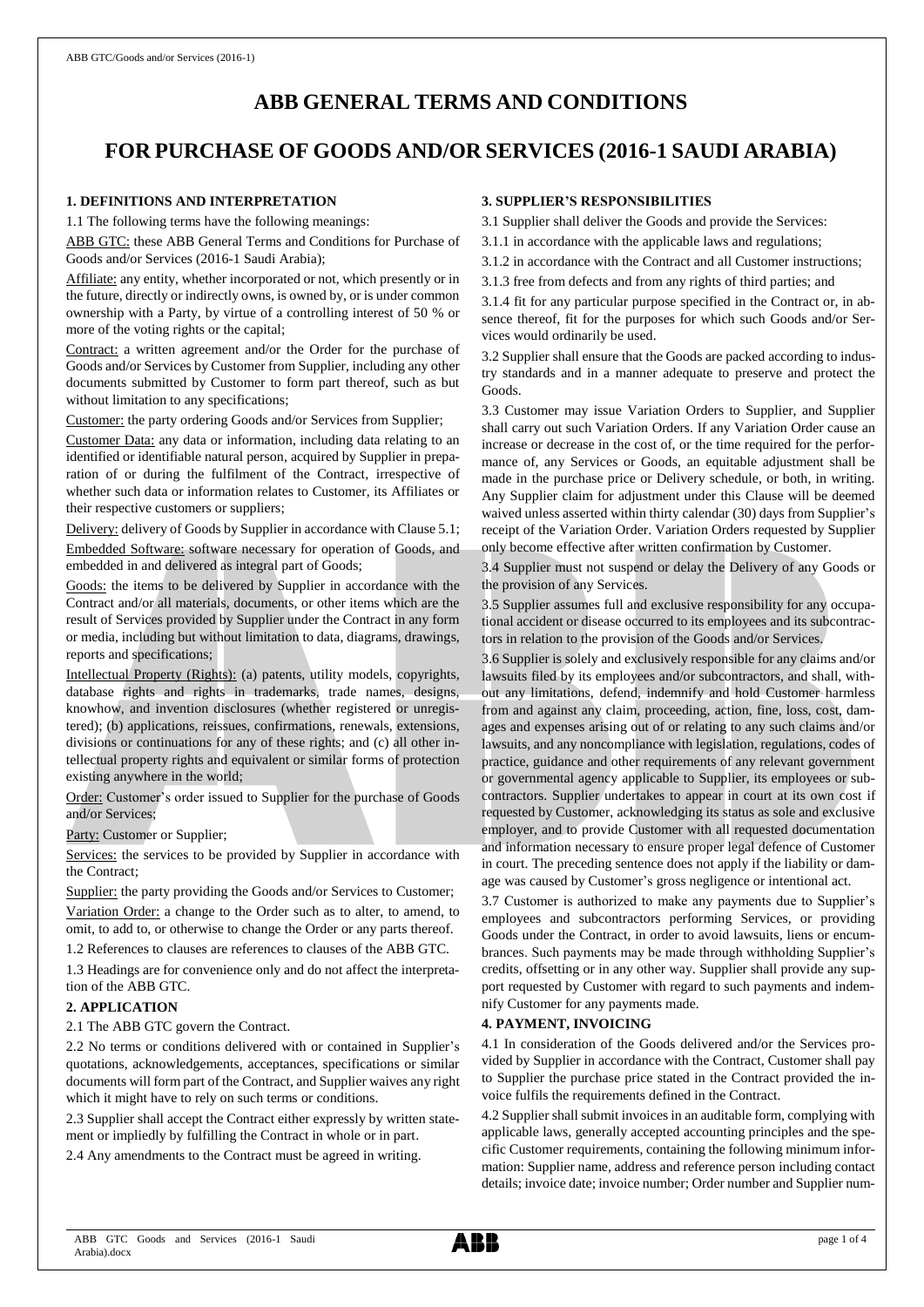# **ABB GENERAL TERMS AND CONDITIONS**

# **FOR PURCHASE OF GOODS AND/OR SERVICES (2016-1 SAUDI ARABIA)**

## **1. DEFINITIONS AND INTERPRETATION**

1.1 The following terms have the following meanings:

ABB GTC: these ABB General Terms and Conditions for Purchase of Goods and/or Services (2016-1 Saudi Arabia);

Affiliate: any entity, whether incorporated or not, which presently or in the future, directly or indirectly owns, is owned by, or is under common ownership with a Party, by virtue of a controlling interest of 50 % or more of the voting rights or the capital;

Contract: a written agreement and/or the Order for the purchase of Goods and/or Services by Customer from Supplier, including any other documents submitted by Customer to form part thereof, such as but without limitation to any specifications;

Customer: the party ordering Goods and/or Services from Supplier;

Customer Data: any data or information, including data relating to an identified or identifiable natural person, acquired by Supplier in preparation of or during the fulfilment of the Contract, irrespective of whether such data or information relates to Customer, its Affiliates or their respective customers or suppliers;

Delivery: delivery of Goods by Supplier in accordance with Clause 5.1; Embedded Software: software necessary for operation of Goods, and embedded in and delivered as integral part of Goods;

Goods: the items to be delivered by Supplier in accordance with the Contract and/or all materials, documents, or other items which are the result of Services provided by Supplier under the Contract in any form or media, including but without limitation to data, diagrams, drawings, reports and specifications;

Intellectual Property (Rights): (a) patents, utility models, copyrights, database rights and rights in trademarks, trade names, designs, knowhow, and invention disclosures (whether registered or unregistered); (b) applications, reissues, confirmations, renewals, extensions, divisions or continuations for any of these rights; and (c) all other intellectual property rights and equivalent or similar forms of protection existing anywhere in the world;

Order: Customer's order issued to Supplier for the purchase of Goods and/or Services;

Party: Customer or Supplier;

Services: the services to be provided by Supplier in accordance with the Contract;

Supplier: the party providing the Goods and/or Services to Customer;

Variation Order: a change to the Order such as to alter, to amend, to omit, to add to, or otherwise to change the Order or any parts thereof.

1.2 References to clauses are references to clauses of the ABB GTC.

1.3 Headings are for convenience only and do not affect the interpretation of the ABB GTC.

## **2. APPLICATION**

2.1 The ABB GTC govern the Contract.

2.2 No terms or conditions delivered with or contained in Supplier's quotations, acknowledgements, acceptances, specifications or similar documents will form part of the Contract, and Supplier waives any right which it might have to rely on such terms or conditions.

2.3 Supplier shall accept the Contract either expressly by written statement or impliedly by fulfilling the Contract in whole or in part.

2.4 Any amendments to the Contract must be agreed in writing.

## **3. SUPPLIER'S RESPONSIBILITIES**

3.1 Supplier shall deliver the Goods and provide the Services:

3.1.1 in accordance with the applicable laws and regulations;

- 3.1.2 in accordance with the Contract and all Customer instructions;
- 3.1.3 free from defects and from any rights of third parties; and

3.1.4 fit for any particular purpose specified in the Contract or, in absence thereof, fit for the purposes for which such Goods and/or Services would ordinarily be used.

3.2 Supplier shall ensure that the Goods are packed according to industry standards and in a manner adequate to preserve and protect the Goods.

3.3 Customer may issue Variation Orders to Supplier, and Supplier shall carry out such Variation Orders. If any Variation Order cause an increase or decrease in the cost of, or the time required for the performance of, any Services or Goods, an equitable adjustment shall be made in the purchase price or Delivery schedule, or both, in writing. Any Supplier claim for adjustment under this Clause will be deemed waived unless asserted within thirty calendar (30) days from Supplier's receipt of the Variation Order. Variation Orders requested by Supplier only become effective after written confirmation by Customer.

3.4 Supplier must not suspend or delay the Delivery of any Goods or the provision of any Services.

3.5 Supplier assumes full and exclusive responsibility for any occupational accident or disease occurred to its employees and its subcontractors in relation to the provision of the Goods and/or Services.

3.6 Supplier is solely and exclusively responsible for any claims and/or lawsuits filed by its employees and/or subcontractors, and shall, without any limitations, defend, indemnify and hold Customer harmless from and against any claim, proceeding, action, fine, loss, cost, damages and expenses arising out of or relating to any such claims and/or lawsuits, and any noncompliance with legislation, regulations, codes of practice, guidance and other requirements of any relevant government or governmental agency applicable to Supplier, its employees or subcontractors. Supplier undertakes to appear in court at its own cost if requested by Customer, acknowledging its status as sole and exclusive employer, and to provide Customer with all requested documentation and information necessary to ensure proper legal defence of Customer in court. The preceding sentence does not apply if the liability or damage was caused by Customer's gross negligence or intentional act.

3.7 Customer is authorized to make any payments due to Supplier's employees and subcontractors performing Services, or providing Goods under the Contract, in order to avoid lawsuits, liens or encumbrances. Such payments may be made through withholding Supplier's credits, offsetting or in any other way. Supplier shall provide any support requested by Customer with regard to such payments and indemnify Customer for any payments made.

#### **4. PAYMENT, INVOICING**

4.1 In consideration of the Goods delivered and/or the Services provided by Supplier in accordance with the Contract, Customer shall pay to Supplier the purchase price stated in the Contract provided the invoice fulfils the requirements defined in the Contract.

4.2 Supplier shall submit invoices in an auditable form, complying with applicable laws, generally accepted accounting principles and the specific Customer requirements, containing the following minimum information: Supplier name, address and reference person including contact details; invoice date; invoice number; Order number and Supplier num-

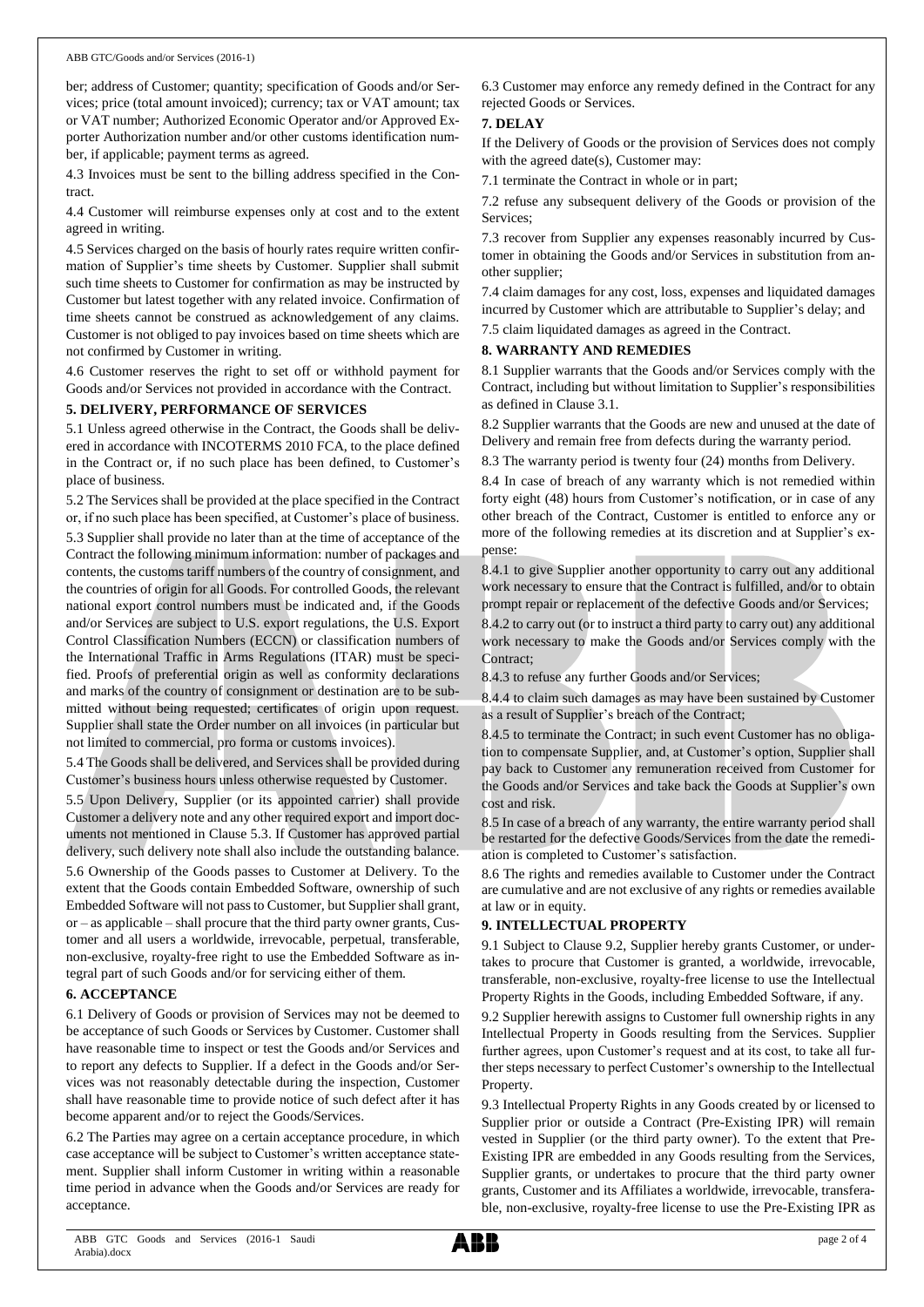ber; address of Customer; quantity; specification of Goods and/or Services; price (total amount invoiced); currency; tax or VAT amount; tax or VAT number; Authorized Economic Operator and/or Approved Exporter Authorization number and/or other customs identification number, if applicable; payment terms as agreed.

4.3 Invoices must be sent to the billing address specified in the Contract.

4.4 Customer will reimburse expenses only at cost and to the extent agreed in writing.

4.5 Services charged on the basis of hourly rates require written confirmation of Supplier's time sheets by Customer. Supplier shall submit such time sheets to Customer for confirmation as may be instructed by Customer but latest together with any related invoice. Confirmation of time sheets cannot be construed as acknowledgement of any claims. Customer is not obliged to pay invoices based on time sheets which are not confirmed by Customer in writing.

4.6 Customer reserves the right to set off or withhold payment for Goods and/or Services not provided in accordance with the Contract.

## **5. DELIVERY, PERFORMANCE OF SERVICES**

5.1 Unless agreed otherwise in the Contract, the Goods shall be delivered in accordance with INCOTERMS 2010 FCA, to the place defined in the Contract or, if no such place has been defined, to Customer's place of business.

5.2 The Services shall be provided at the place specified in the Contract or, if no such place has been specified, at Customer's place of business.

5.3 Supplier shall provide no later than at the time of acceptance of the Contract the following minimum information: number of packages and contents, the customs tariff numbers of the country of consignment, and the countries of origin for all Goods. For controlled Goods, the relevant national export control numbers must be indicated and, if the Goods and/or Services are subject to U.S. export regulations, the U.S. Export Control Classification Numbers (ECCN) or classification numbers of the International Traffic in Arms Regulations (ITAR) must be specified. Proofs of preferential origin as well as conformity declarations and marks of the country of consignment or destination are to be submitted without being requested; certificates of origin upon request. Supplier shall state the Order number on all invoices (in particular but not limited to commercial, pro forma or customs invoices).

5.4 The Goods shall be delivered, and Services shall be provided during Customer's business hours unless otherwise requested by Customer.

5.5 Upon Delivery, Supplier (or its appointed carrier) shall provide Customer a delivery note and any other required export and import documents not mentioned in Clause 5.3. If Customer has approved partial delivery, such delivery note shall also include the outstanding balance.

5.6 Ownership of the Goods passes to Customer at Delivery. To the extent that the Goods contain Embedded Software, ownership of such Embedded Software will not passto Customer, but Supplier shall grant, or – as applicable – shall procure that the third party owner grants, Customer and all users a worldwide, irrevocable, perpetual, transferable, non-exclusive, royalty-free right to use the Embedded Software as integral part of such Goods and/or for servicing either of them.

## **6. ACCEPTANCE**

6.1 Delivery of Goods or provision of Services may not be deemed to be acceptance of such Goods or Services by Customer. Customer shall have reasonable time to inspect or test the Goods and/or Services and to report any defects to Supplier. If a defect in the Goods and/or Services was not reasonably detectable during the inspection, Customer shall have reasonable time to provide notice of such defect after it has become apparent and/or to reject the Goods/Services.

6.2 The Parties may agree on a certain acceptance procedure, in which case acceptance will be subject to Customer's written acceptance statement. Supplier shall inform Customer in writing within a reasonable time period in advance when the Goods and/or Services are ready for acceptance.

6.3 Customer may enforce any remedy defined in the Contract for any rejected Goods or Services.

## **7. DELAY**

If the Delivery of Goods or the provision of Services does not comply with the agreed date(s), Customer may:

7.1 terminate the Contract in whole or in part;

7.2 refuse any subsequent delivery of the Goods or provision of the Services;

7.3 recover from Supplier any expenses reasonably incurred by Customer in obtaining the Goods and/or Services in substitution from another supplier;

7.4 claim damages for any cost, loss, expenses and liquidated damages incurred by Customer which are attributable to Supplier's delay; and

7.5 claim liquidated damages as agreed in the Contract.

## **8. WARRANTY AND REMEDIES**

8.1 Supplier warrants that the Goods and/or Services comply with the Contract, including but without limitation to Supplier's responsibilities as defined in Clause 3.1.

8.2 Supplier warrants that the Goods are new and unused at the date of Delivery and remain free from defects during the warranty period.

8.3 The warranty period is twenty four (24) months from Delivery.

8.4 In case of breach of any warranty which is not remedied within forty eight (48) hours from Customer's notification, or in case of any other breach of the Contract, Customer is entitled to enforce any or more of the following remedies at its discretion and at Supplier's expense:

8.4.1 to give Supplier another opportunity to carry out any additional work necessary to ensure that the Contract is fulfilled, and/or to obtain prompt repair or replacement of the defective Goods and/or Services;

8.4.2 to carry out (or to instruct a third party to carry out) any additional work necessary to make the Goods and/or Services comply with the Contract;

8.4.3 to refuse any further Goods and/or Services;

8.4.4 to claim such damages as may have been sustained by Customer as a result of Supplier's breach of the Contract;

8.4.5 to terminate the Contract; in such event Customer has no obligation to compensate Supplier, and, at Customer's option, Supplier shall pay back to Customer any remuneration received from Customer for the Goods and/or Services and take back the Goods at Supplier's own cost and risk.

8.5 In case of a breach of any warranty, the entire warranty period shall be restarted for the defective Goods/Services from the date the remediation is completed to Customer's satisfaction.

8.6 The rights and remedies available to Customer under the Contract are cumulative and are not exclusive of any rights or remedies available at law or in equity.

## **9. INTELLECTUAL PROPERTY**

9.1 Subject to Clause 9.2, Supplier hereby grants Customer, or undertakes to procure that Customer is granted, a worldwide, irrevocable, transferable, non-exclusive, royalty-free license to use the Intellectual Property Rights in the Goods, including Embedded Software, if any.

9.2 Supplier herewith assigns to Customer full ownership rights in any Intellectual Property in Goods resulting from the Services. Supplier further agrees, upon Customer's request and at its cost, to take all further steps necessary to perfect Customer's ownership to the Intellectual Property.

9.3 Intellectual Property Rights in any Goods created by or licensed to Supplier prior or outside a Contract (Pre-Existing IPR) will remain vested in Supplier (or the third party owner). To the extent that Pre-Existing IPR are embedded in any Goods resulting from the Services, Supplier grants, or undertakes to procure that the third party owner grants, Customer and its Affiliates a worldwide, irrevocable, transferable, non-exclusive, royalty-free license to use the Pre-Existing IPR as

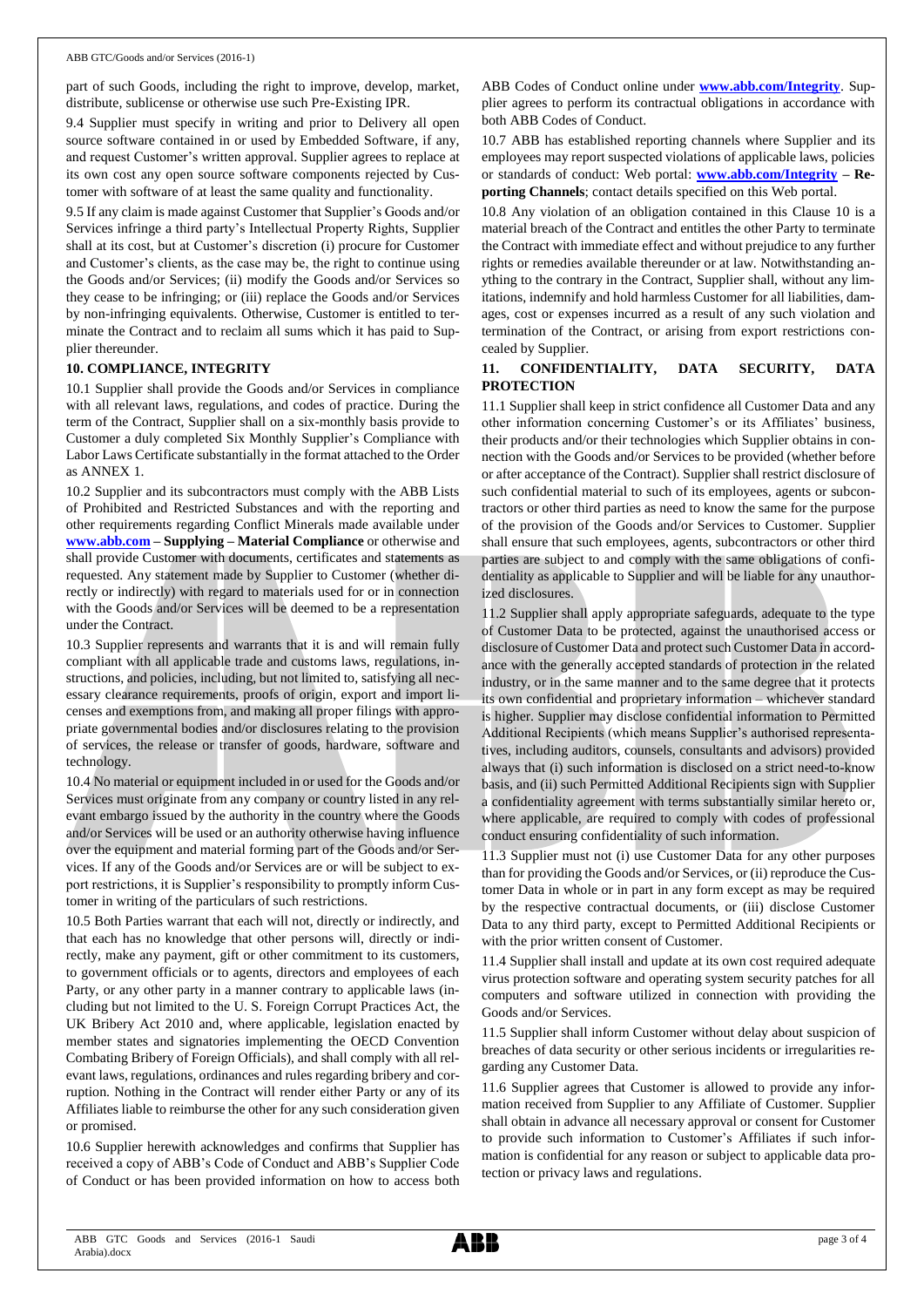part of such Goods, including the right to improve, develop, market, distribute, sublicense or otherwise use such Pre-Existing IPR.

9.4 Supplier must specify in writing and prior to Delivery all open source software contained in or used by Embedded Software, if any, and request Customer's written approval. Supplier agrees to replace at its own cost any open source software components rejected by Customer with software of at least the same quality and functionality.

9.5 If any claim is made against Customer that Supplier's Goods and/or Services infringe a third party's Intellectual Property Rights, Supplier shall at its cost, but at Customer's discretion (i) procure for Customer and Customer's clients, as the case may be, the right to continue using the Goods and/or Services; (ii) modify the Goods and/or Services so they cease to be infringing; or (iii) replace the Goods and/or Services by non-infringing equivalents. Otherwise, Customer is entitled to terminate the Contract and to reclaim all sums which it has paid to Supplier thereunder.

## **10. COMPLIANCE, INTEGRITY**

10.1 Supplier shall provide the Goods and/or Services in compliance with all relevant laws, regulations, and codes of practice. During the term of the Contract, Supplier shall on a six-monthly basis provide to Customer a duly completed Six Monthly Supplier's Compliance with Labor Laws Certificate substantially in the format attached to the Order as ANNEX 1.

10.2 Supplier and its subcontractors must comply with the ABB Lists of Prohibited and Restricted Substances and with the reporting and other requirements regarding Conflict Minerals made available under **[www.abb.com](http://www.abb.com/) – Supplying – Material Compliance** or otherwise and shall provide Customer with documents, certificates and statements as requested. Any statement made by Supplier to Customer (whether directly or indirectly) with regard to materials used for or in connection with the Goods and/or Services will be deemed to be a representation under the Contract.

10.3 Supplier represents and warrants that it is and will remain fully compliant with all applicable trade and customs laws, regulations, instructions, and policies, including, but not limited to, satisfying all necessary clearance requirements, proofs of origin, export and import licenses and exemptions from, and making all proper filings with appropriate governmental bodies and/or disclosures relating to the provision of services, the release or transfer of goods, hardware, software and technology.

10.4 No material or equipment included in or used for the Goods and/or Services must originate from any company or country listed in any relevant embargo issued by the authority in the country where the Goods and/or Services will be used or an authority otherwise having influence over the equipment and material forming part of the Goods and/or Services. If any of the Goods and/or Services are or will be subject to export restrictions, it is Supplier's responsibility to promptly inform Customer in writing of the particulars of such restrictions.

10.5 Both Parties warrant that each will not, directly or indirectly, and that each has no knowledge that other persons will, directly or indirectly, make any payment, gift or other commitment to its customers, to government officials or to agents, directors and employees of each Party, or any other party in a manner contrary to applicable laws (including but not limited to the U. S. Foreign Corrupt Practices Act, the UK Bribery Act 2010 and, where applicable, legislation enacted by member states and signatories implementing the OECD Convention Combating Bribery of Foreign Officials), and shall comply with all relevant laws, regulations, ordinances and rules regarding bribery and corruption. Nothing in the Contract will render either Party or any of its Affiliates liable to reimburse the other for any such consideration given or promised.

10.6 Supplier herewith acknowledges and confirms that Supplier has received a copy of ABB's Code of Conduct and ABB's Supplier Code of Conduct or has been provided information on how to access both

ABB Codes of Conduct online under **[www.abb.com/Integrity](http://www.abb.com/Integrity)**. Supplier agrees to perform its contractual obligations in accordance with both ABB Codes of Conduct.

10.7 ABB has established reporting channels where Supplier and its employees may report suspected violations of applicable laws, policies or standards of conduct: Web portal: **[www.abb.com/Integrity](http://www.abb.com/Integrity) – Reporting Channels**; contact details specified on this Web portal.

10.8 Any violation of an obligation contained in this Clause 10 is a material breach of the Contract and entitles the other Party to terminate the Contract with immediate effect and without prejudice to any further rights or remedies available thereunder or at law. Notwithstanding anything to the contrary in the Contract, Supplier shall, without any limitations, indemnify and hold harmless Customer for all liabilities, damages, cost or expenses incurred as a result of any such violation and termination of the Contract, or arising from export restrictions concealed by Supplier.

## **11. CONFIDENTIALITY, DATA SECURITY, DATA PROTECTION**

11.1 Supplier shall keep in strict confidence all Customer Data and any other information concerning Customer's or its Affiliates' business, their products and/or their technologies which Supplier obtains in connection with the Goods and/or Services to be provided (whether before or after acceptance of the Contract). Supplier shall restrict disclosure of such confidential material to such of its employees, agents or subcontractors or other third parties as need to know the same for the purpose of the provision of the Goods and/or Services to Customer. Supplier shall ensure that such employees, agents, subcontractors or other third parties are subject to and comply with the same obligations of confidentiality as applicable to Supplier and will be liable for any unauthorized disclosures.

11.2 Supplier shall apply appropriate safeguards, adequate to the type of Customer Data to be protected, against the unauthorised access or disclosure of Customer Data and protect such Customer Data in accordance with the generally accepted standards of protection in the related industry, or in the same manner and to the same degree that it protects its own confidential and proprietary information – whichever standard is higher. Supplier may disclose confidential information to Permitted Additional Recipients (which means Supplier's authorised representatives, including auditors, counsels, consultants and advisors) provided always that (i) such information is disclosed on a strict need-to-know basis, and (ii) such Permitted Additional Recipients sign with Supplier a confidentiality agreement with terms substantially similar hereto or, where applicable, are required to comply with codes of professional conduct ensuring confidentiality of such information.

11.3 Supplier must not (i) use Customer Data for any other purposes than for providing the Goods and/or Services, or (ii) reproduce the Customer Data in whole or in part in any form except as may be required by the respective contractual documents, or (iii) disclose Customer Data to any third party, except to Permitted Additional Recipients or with the prior written consent of Customer.

11.4 Supplier shall install and update at its own cost required adequate virus protection software and operating system security patches for all computers and software utilized in connection with providing the Goods and/or Services.

11.5 Supplier shall inform Customer without delay about suspicion of breaches of data security or other serious incidents or irregularities regarding any Customer Data.

11.6 Supplier agrees that Customer is allowed to provide any information received from Supplier to any Affiliate of Customer. Supplier shall obtain in advance all necessary approval or consent for Customer to provide such information to Customer's Affiliates if such information is confidential for any reason or subject to applicable data protection or privacy laws and regulations.